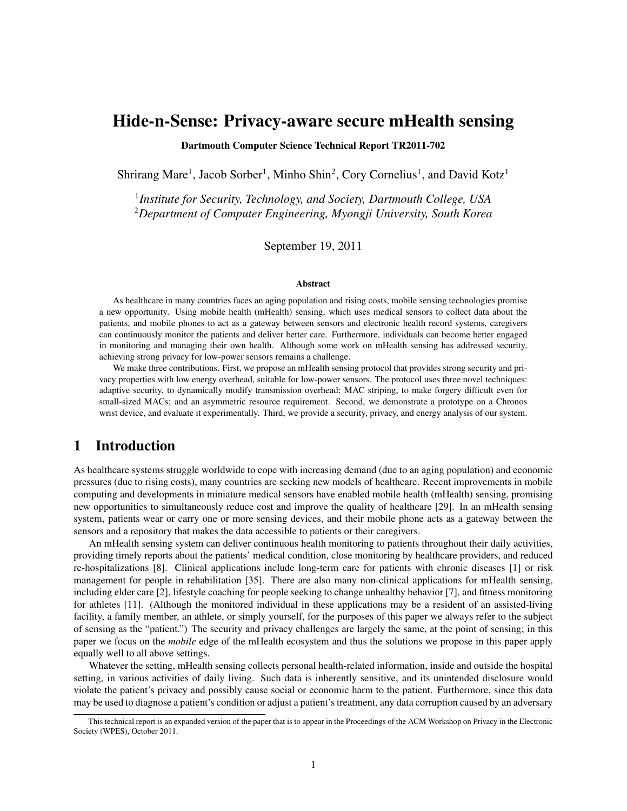# Hide-n-Sense: Privacy-aware secure mHealth sensing

Dartmouth Computer Science Technical Report TR2011-702

Shrirang Mare<sup>1</sup>, Jacob Sorber<sup>1</sup>, Minho Shin<sup>2</sup>, Cory Cornelius<sup>1</sup>, and David Kotz<sup>1</sup>

1 *Institute for Security, Technology, and Society, Dartmouth College, USA* <sup>2</sup>*Department of Computer Engineering, Myongji University, South Korea*

September 19, 2011

#### Abstract

As healthcare in many countries faces an aging population and rising costs, mobile sensing technologies promise a new opportunity. Using mobile health (mHealth) sensing, which uses medical sensors to collect data about the patients, and mobile phones to act as a gateway between sensors and electronic health record systems, caregivers can continuously monitor the patients and deliver better care. Furthermore, individuals can become better engaged in monitoring and managing their own health. Although some work on mHealth sensing has addressed security, achieving strong privacy for low-power sensors remains a challenge.

We make three contributions. First, we propose an mHealth sensing protocol that provides strong security and privacy properties with low energy overhead, suitable for low-power sensors. The protocol uses three novel techniques: adaptive security, to dynamically modify transmission overhead; MAC striping, to make forgery difficult even for small-sized MACs; and an asymmetric resource requirement. Second, we demonstrate a prototype on a Chronos wrist device, and evaluate it experimentally. Third, we provide a security, privacy, and energy analysis of our system.

## 1 Introduction

As healthcare systems struggle worldwide to cope with increasing demand (due to an aging population) and economic pressures (due to rising costs), many countries are seeking new models of healthcare. Recent improvements in mobile computing and developments in miniature medical sensors have enabled mobile health (mHealth) sensing, promising new opportunities to simultaneously reduce cost and improve the quality of healthcare [\[29\]](#page-17-0). In an mHealth sensing system, patients wear or carry one or more sensing devices, and their mobile phone acts as a gateway between the sensors and a repository that makes the data accessible to patients or their caregivers.

An mHealth sensing system can deliver continuous health monitoring to patients throughout their daily activities, providing timely reports about the patients' medical condition, close monitoring by healthcare providers, and reduced re-hospitalizations [\[8\]](#page-16-0). Clinical applications include long-term care for patients with chronic diseases [\[1\]](#page-16-1) or risk management for people in rehabilitation [\[35\]](#page-17-1). There are also many non-clinical applications for mHealth sensing, including elder care [\[2\]](#page-16-2), lifestyle coaching for people seeking to change unhealthy behavior [\[7\]](#page-16-3), and fitness monitoring for athletes [\[11\]](#page-16-4). (Although the monitored individual in these applications may be a resident of an assisted-living facility, a family member, an athlete, or simply yourself, for the purposes of this paper we always refer to the subject of sensing as the "patient.") The security and privacy challenges are largely the same, at the point of sensing; in this paper we focus on the *mobile* edge of the mHealth ecosystem and thus the solutions we propose in this paper apply equally well to all above settings.

Whatever the setting, mHealth sensing collects personal health-related information, inside and outside the hospital setting, in various activities of daily living. Such data is inherently sensitive, and its unintended disclosure would violate the patient's privacy and possibly cause social or economic harm to the patient. Furthermore, since this data may be used to diagnose a patient's condition or adjust a patient's treatment, any data corruption caused by an adversary

This technical report is an expanded version of the paper that is to appear in the Proceedings of the ACM Workshop on Privacy in the Electronic Society (WPES), October 2011.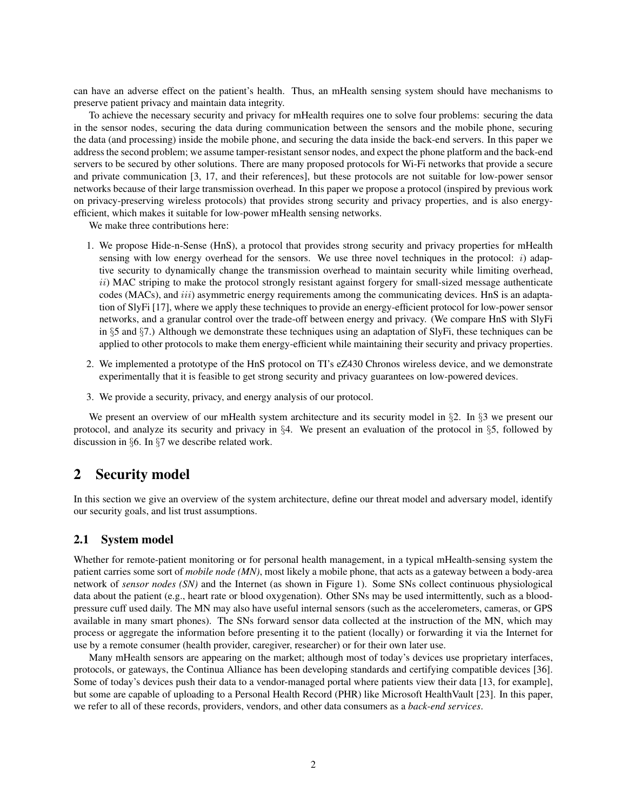can have an adverse effect on the patient's health. Thus, an mHealth sensing system should have mechanisms to preserve patient privacy and maintain data integrity.

To achieve the necessary security and privacy for mHealth requires one to solve four problems: securing the data in the sensor nodes, securing the data during communication between the sensors and the mobile phone, securing the data (and processing) inside the mobile phone, and securing the data inside the back-end servers. In this paper we address the second problem; we assume tamper-resistant sensor nodes, and expect the phone platform and the back-end servers to be secured by other solutions. There are many proposed protocols for Wi-Fi networks that provide a secure and private communication [\[3,](#page-16-5) [17,](#page-16-6) and their references], but these protocols are not suitable for low-power sensor networks because of their large transmission overhead. In this paper we propose a protocol (inspired by previous work on privacy-preserving wireless protocols) that provides strong security and privacy properties, and is also energyefficient, which makes it suitable for low-power mHealth sensing networks.

We make three contributions here:

- 1. We propose Hide-n-Sense (HnS), a protocol that provides strong security and privacy properties for mHealth sensing with low energy overhead for the sensors. We use three novel techniques in the protocol:  $i)$  adaptive security to dynamically change the transmission overhead to maintain security while limiting overhead,  $ii)$  MAC striping to make the protocol strongly resistant against forgery for small-sized message authenticate codes (MACs), and *iii*) asymmetric energy requirements among the communicating devices. HnS is an adaptation of SlyFi [\[17\]](#page-16-6), where we apply these techniques to provide an energy-efficient protocol for low-power sensor networks, and a granular control over the trade-off between energy and privacy. (We compare HnS with SlyFi in §[5](#page-11-0) and §[7.](#page-14-0)) Although we demonstrate these techniques using an adaptation of SlyFi, these techniques can be applied to other protocols to make them energy-efficient while maintaining their security and privacy properties.
- 2. We implemented a prototype of the HnS protocol on TI's eZ430 Chronos wireless device, and we demonstrate experimentally that it is feasible to get strong security and privacy guarantees on low-powered devices.
- 3. We provide a security, privacy, and energy analysis of our protocol.

We present an overview of our mHealth system architecture and its security model in §[2.](#page-1-0) In §[3](#page-4-0) we present our protocol, and analyze its security and privacy in §[4.](#page-10-0) We present an evaluation of the protocol in §[5,](#page-11-0) followed by discussion in §[6.](#page-14-1) In §[7](#page-14-0) we describe related work.

## <span id="page-1-0"></span>2 Security model

In this section we give an overview of the system architecture, define our threat model and adversary model, identify our security goals, and list trust assumptions.

### 2.1 System model

Whether for remote-patient monitoring or for personal health management, in a typical mHealth-sensing system the patient carries some sort of *mobile node (MN)*, most likely a mobile phone, that acts as a gateway between a body-area network of *sensor nodes (SN)* and the Internet (as shown in Figure [1\)](#page-2-0). Some SNs collect continuous physiological data about the patient (e.g., heart rate or blood oxygenation). Other SNs may be used intermittently, such as a bloodpressure cuff used daily. The MN may also have useful internal sensors (such as the accelerometers, cameras, or GPS available in many smart phones). The SNs forward sensor data collected at the instruction of the MN, which may process or aggregate the information before presenting it to the patient (locally) or forwarding it via the Internet for use by a remote consumer (health provider, caregiver, researcher) or for their own later use.

Many mHealth sensors are appearing on the market; although most of today's devices use proprietary interfaces, protocols, or gateways, the Continua Alliance has been developing standards and certifying compatible devices [\[36\]](#page-17-2). Some of today's devices push their data to a vendor-managed portal where patients view their data [\[13,](#page-16-7) for example], but some are capable of uploading to a Personal Health Record (PHR) like Microsoft HealthVault [\[23\]](#page-17-3). In this paper, we refer to all of these records, providers, vendors, and other data consumers as a *back-end services*.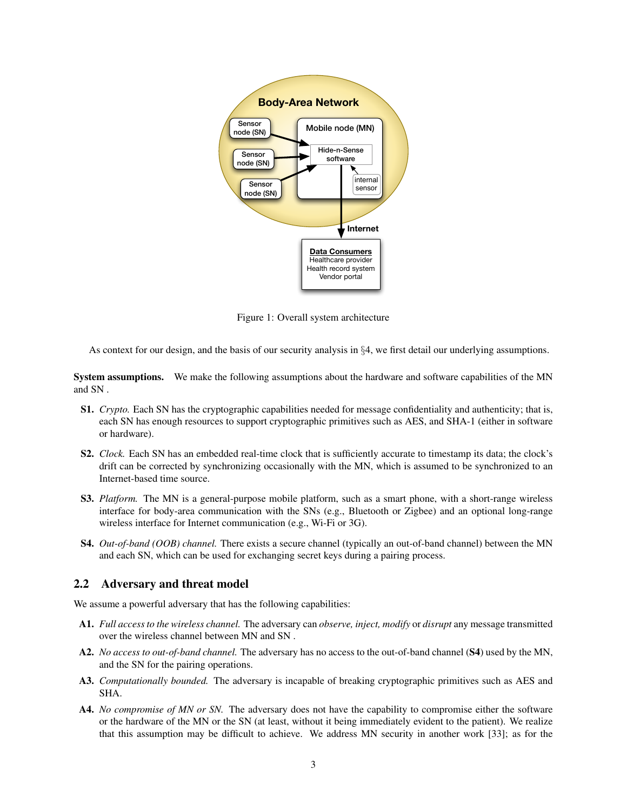

<span id="page-2-0"></span>Figure 1: Overall system architecture

As context for our design, and the basis of our security analysis in §[4,](#page-10-0) we first detail our underlying assumptions.

System assumptions. We make the following assumptions about the hardware and software capabilities of the MN and SN .

- S1. *Crypto.* Each SN has the cryptographic capabilities needed for message confidentiality and authenticity; that is, each SN has enough resources to support cryptographic primitives such as AES, and SHA-1 (either in software or hardware).
- S2. *Clock.* Each SN has an embedded real-time clock that is sufficiently accurate to timestamp its data; the clock's drift can be corrected by synchronizing occasionally with the MN, which is assumed to be synchronized to an Internet-based time source.
- S3. *Platform.* The MN is a general-purpose mobile platform, such as a smart phone, with a short-range wireless interface for body-area communication with the SNs (e.g., Bluetooth or Zigbee) and an optional long-range wireless interface for Internet communication (e.g., Wi-Fi or 3G).
- <span id="page-2-1"></span>S4. *Out-of-band (OOB) channel.* There exists a secure channel (typically an out-of-band channel) between the MN and each SN, which can be used for exchanging secret keys during a pairing process.

### 2.2 Adversary and threat model

We assume a powerful adversary that has the following capabilities:

- <span id="page-2-2"></span>A1. *Full access to the wireless channel.* The adversary can *observe, inject, modify* or *disrupt* any message transmitted over the wireless channel between MN and SN .
- A2. *No access to out-of-band channel.* The adversary has no access to the out-of-band channel ([S4](#page-2-1)) used by the MN, and the SN for the pairing operations.
- A3. *Computationally bounded.* The adversary is incapable of breaking cryptographic primitives such as AES and SHA.
- A4. *No compromise of MN or SN.* The adversary does not have the capability to compromise either the software or the hardware of the MN or the SN (at least, without it being immediately evident to the patient). We realize that this assumption may be difficult to achieve. We address MN security in another work [\[33\]](#page-17-4); as for the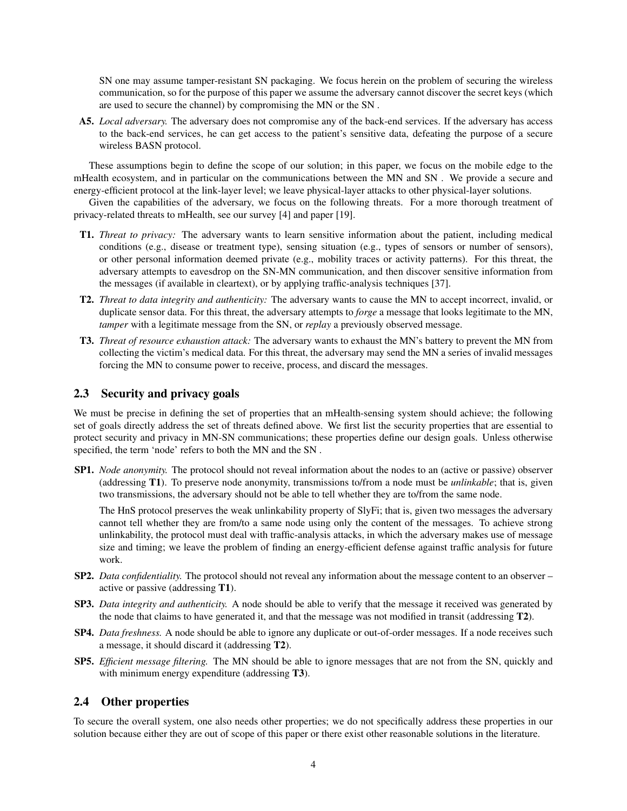SN one may assume tamper-resistant SN packaging. We focus herein on the problem of securing the wireless communication, so for the purpose of this paper we assume the adversary cannot discover the secret keys (which are used to secure the channel) by compromising the MN or the SN .

A5. *Local adversary.* The adversary does not compromise any of the back-end services. If the adversary has access to the back-end services, he can get access to the patient's sensitive data, defeating the purpose of a secure wireless BASN protocol.

These assumptions begin to define the scope of our solution; in this paper, we focus on the mobile edge to the mHealth ecosystem, and in particular on the communications between the MN and SN . We provide a secure and energy-efficient protocol at the link-layer level; we leave physical-layer attacks to other physical-layer solutions.

Given the capabilities of the adversary, we focus on the following threats. For a more thorough treatment of privacy-related threats to mHealth, see our survey [\[4\]](#page-16-8) and paper [\[19\]](#page-16-9).

- <span id="page-3-0"></span>T1. *Threat to privacy:* The adversary wants to learn sensitive information about the patient, including medical conditions (e.g., disease or treatment type), sensing situation (e.g., types of sensors or number of sensors), or other personal information deemed private (e.g., mobility traces or activity patterns). For this threat, the adversary attempts to eavesdrop on the SN-MN communication, and then discover sensitive information from the messages (if available in cleartext), or by applying traffic-analysis techniques [\[37\]](#page-17-5).
- <span id="page-3-1"></span>T2. *Threat to data integrity and authenticity:* The adversary wants to cause the MN to accept incorrect, invalid, or duplicate sensor data. For this threat, the adversary attempts to *forge* a message that looks legitimate to the MN, *tamper* with a legitimate message from the SN, or *replay* a previously observed message.
- <span id="page-3-2"></span>T3. *Threat of resource exhaustion attack:* The adversary wants to exhaust the MN's battery to prevent the MN from collecting the victim's medical data. For this threat, the adversary may send the MN a series of invalid messages forcing the MN to consume power to receive, process, and discard the messages.

### <span id="page-3-3"></span>2.3 Security and privacy goals

We must be precise in defining the set of properties that an mHealth-sensing system should achieve; the following set of goals directly address the set of threats defined above. We first list the security properties that are essential to protect security and privacy in MN-SN communications; these properties define our design goals. Unless otherwise specified, the term 'node' refers to both the MN and the SN .

<span id="page-3-4"></span>SP1. *Node anonymity.* The protocol should not reveal information about the nodes to an (active or passive) observer (addressing [T1](#page-3-0)). To preserve node anonymity, transmissions to/from a node must be *unlinkable*; that is, given two transmissions, the adversary should not be able to tell whether they are to/from the same node.

The HnS protocol preserves the weak unlinkability property of SlyFi; that is, given two messages the adversary cannot tell whether they are from/to a same node using only the content of the messages. To achieve strong unlinkability, the protocol must deal with traffic-analysis attacks, in which the adversary makes use of message size and timing; we leave the problem of finding an energy-efficient defense against traffic analysis for future work.

- <span id="page-3-5"></span>SP2. *Data confidentiality.* The protocol should not reveal any information about the message content to an observer – active or passive (addressing [T1](#page-3-0)).
- <span id="page-3-6"></span>SP3. *Data integrity and authenticity.* A node should be able to verify that the message it received was generated by the node that claims to have generated it, and that the message was not modified in transit (addressing [T2](#page-3-1)).
- <span id="page-3-7"></span>SP4. *Data freshness.* A node should be able to ignore any duplicate or out-of-order messages. If a node receives such a message, it should discard it (addressing [T2](#page-3-1)).
- <span id="page-3-8"></span>SP5. *Efficient message filtering.* The MN should be able to ignore messages that are not from the SN, quickly and with minimum energy expenditure (addressing **[T3](#page-3-2)**).

### 2.4 Other properties

To secure the overall system, one also needs other properties; we do not specifically address these properties in our solution because either they are out of scope of this paper or there exist other reasonable solutions in the literature.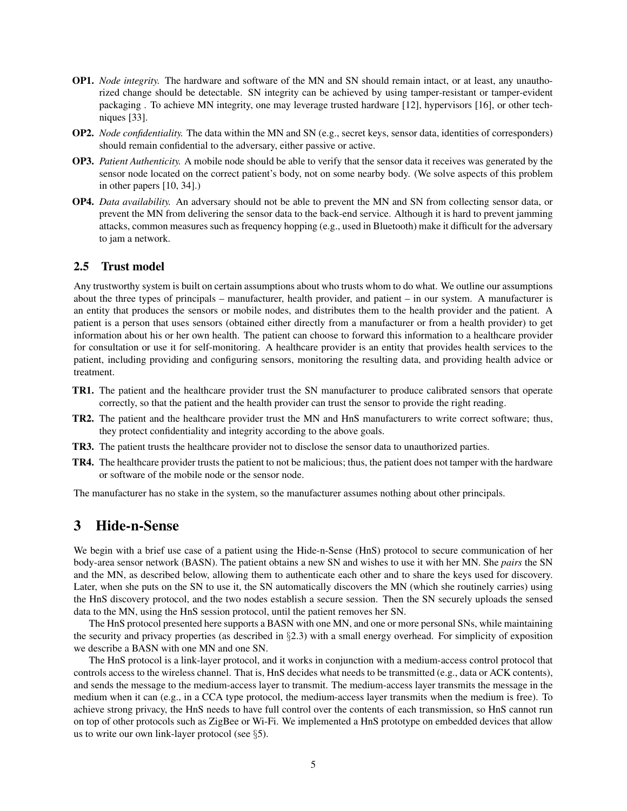- OP1. *Node integrity.* The hardware and software of the MN and SN should remain intact, or at least, any unauthorized change should be detectable. SN integrity can be achieved by using tamper-resistant or tamper-evident packaging . To achieve MN integrity, one may leverage trusted hardware [\[12\]](#page-16-10), hypervisors [\[16\]](#page-16-11), or other techniques [\[33\]](#page-17-4).
- OP2. *Node confidentiality.* The data within the MN and SN (e.g., secret keys, sensor data, identities of corresponders) should remain confidential to the adversary, either passive or active.
- OP3. *Patient Authenticity.* A mobile node should be able to verify that the sensor data it receives was generated by the sensor node located on the correct patient's body, not on some nearby body. (We solve aspects of this problem in other papers [\[10,](#page-16-12) [34\]](#page-17-6).)
- OP4. *Data availability.* An adversary should not be able to prevent the MN and SN from collecting sensor data, or prevent the MN from delivering the sensor data to the back-end service. Although it is hard to prevent jamming attacks, common measures such as frequency hopping (e.g., used in Bluetooth) make it difficult for the adversary to jam a network.

### 2.5 Trust model

Any trustworthy system is built on certain assumptions about who trusts whom to do what. We outline our assumptions about the three types of principals – manufacturer, health provider, and patient – in our system. A manufacturer is an entity that produces the sensors or mobile nodes, and distributes them to the health provider and the patient. A patient is a person that uses sensors (obtained either directly from a manufacturer or from a health provider) to get information about his or her own health. The patient can choose to forward this information to a healthcare provider for consultation or use it for self-monitoring. A healthcare provider is an entity that provides health services to the patient, including providing and configuring sensors, monitoring the resulting data, and providing health advice or treatment.

- TR1. The patient and the healthcare provider trust the SN manufacturer to produce calibrated sensors that operate correctly, so that the patient and the health provider can trust the sensor to provide the right reading.
- TR2. The patient and the healthcare provider trust the MN and HnS manufacturers to write correct software; thus, they protect confidentiality and integrity according to the above goals.
- TR3. The patient trusts the healthcare provider not to disclose the sensor data to unauthorized parties.
- TR4. The healthcare provider trusts the patient to not be malicious; thus, the patient does not tamper with the hardware or software of the mobile node or the sensor node.

The manufacturer has no stake in the system, so the manufacturer assumes nothing about other principals.

## <span id="page-4-0"></span>3 Hide-n-Sense

We begin with a brief use case of a patient using the Hide-n-Sense (HnS) protocol to secure communication of her body-area sensor network (BASN). The patient obtains a new SN and wishes to use it with her MN. She *pairs* the SN and the MN, as described below, allowing them to authenticate each other and to share the keys used for discovery. Later, when she puts on the SN to use it, the SN automatically discovers the MN (which she routinely carries) using the HnS discovery protocol, and the two nodes establish a secure session. Then the SN securely uploads the sensed data to the MN, using the HnS session protocol, until the patient removes her SN.

The HnS protocol presented here supports a BASN with one MN, and one or more personal SNs, while maintaining the security and privacy properties (as described in §[2.3\)](#page-3-3) with a small energy overhead. For simplicity of exposition we describe a BASN with one MN and one SN.

The HnS protocol is a link-layer protocol, and it works in conjunction with a medium-access control protocol that controls access to the wireless channel. That is, HnS decides what needs to be transmitted (e.g., data or ACK contents), and sends the message to the medium-access layer to transmit. The medium-access layer transmits the message in the medium when it can (e.g., in a CCA type protocol, the medium-access layer transmits when the medium is free). To achieve strong privacy, the HnS needs to have full control over the contents of each transmission, so HnS cannot run on top of other protocols such as ZigBee or Wi-Fi. We implemented a HnS prototype on embedded devices that allow us to write our own link-layer protocol (see §[5\)](#page-11-0).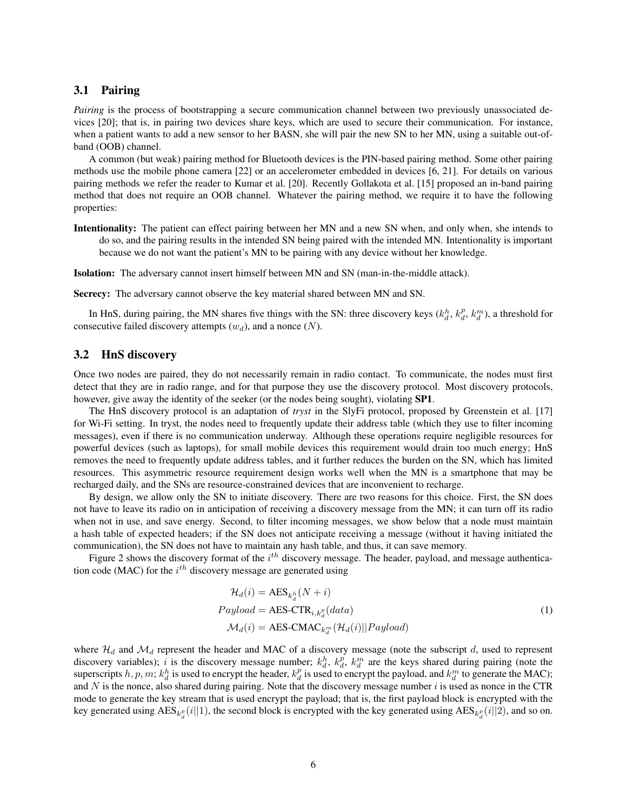### 3.1 Pairing

*Pairing* is the process of bootstrapping a secure communication channel between two previously unassociated devices [\[20\]](#page-17-7); that is, in pairing two devices share keys, which are used to secure their communication. For instance, when a patient wants to add a new sensor to her BASN, she will pair the new SN to her MN, using a suitable out-ofband (OOB) channel.

A common (but weak) pairing method for Bluetooth devices is the PIN-based pairing method. Some other pairing methods use the mobile phone camera [\[22\]](#page-17-8) or an accelerometer embedded in devices [\[6,](#page-16-13) [21\]](#page-17-9). For details on various pairing methods we refer the reader to Kumar et al. [\[20\]](#page-17-7). Recently Gollakota et al. [\[15\]](#page-16-14) proposed an in-band pairing method that does not require an OOB channel. Whatever the pairing method, we require it to have the following properties:

Intentionality: The patient can effect pairing between her MN and a new SN when, and only when, she intends to do so, and the pairing results in the intended SN being paired with the intended MN. Intentionality is important because we do not want the patient's MN to be pairing with any device without her knowledge.

Isolation: The adversary cannot insert himself between MN and SN (man-in-the-middle attack).

Secrecy: The adversary cannot observe the key material shared between MN and SN.

In HnS, during pairing, the MN shares five things with the SN: three discovery keys  $(k_d^h, k_d^p, k_d^m)$ , a threshold for consecutive failed discovery attempts  $(w_d)$ , and a nonce  $(N)$ .

### 3.2 HnS discovery

Once two nodes are paired, they do not necessarily remain in radio contact. To communicate, the nodes must first detect that they are in radio range, and for that purpose they use the discovery protocol. Most discovery protocols, however, give away the identity of the seeker (or the nodes being sought), violating [SP1](#page-3-4).

The HnS discovery protocol is an adaptation of *tryst* in the SlyFi protocol, proposed by Greenstein et al. [\[17\]](#page-16-6) for Wi-Fi setting. In tryst, the nodes need to frequently update their address table (which they use to filter incoming messages), even if there is no communication underway. Although these operations require negligible resources for powerful devices (such as laptops), for small mobile devices this requirement would drain too much energy; HnS removes the need to frequently update address tables, and it further reduces the burden on the SN, which has limited resources. This asymmetric resource requirement design works well when the MN is a smartphone that may be recharged daily, and the SNs are resource-constrained devices that are inconvenient to recharge.

By design, we allow only the SN to initiate discovery. There are two reasons for this choice. First, the SN does not have to leave its radio on in anticipation of receiving a discovery message from the MN; it can turn off its radio when not in use, and save energy. Second, to filter incoming messages, we show below that a node must maintain a hash table of expected headers; if the SN does not anticipate receiving a message (without it having initiated the communication), the SN does not have to maintain any hash table, and thus, it can save memory.

Figure [2](#page-6-0) shows the discovery format of the  $i^{th}$  discovery message. The header, payload, and message authentication code (MAC) for the  $i^{th}$  discovery message are generated using

$$
\mathcal{H}_d(i) = \text{AES}_{k_d^h}(N + i)
$$
  
\n
$$
Payload = \text{AES-CTR}_{i,k_d^p}(data)
$$
  
\n
$$
\mathcal{M}_d(i) = \text{AES-CMAC}_{k_d^m}(\mathcal{H}_d(i)||Payload)
$$
\n(1)

<span id="page-5-0"></span>where  $\mathcal{H}_d$  and  $\mathcal{M}_d$  represent the header and MAC of a discovery message (note the subscript d, used to represent discovery variables); i is the discovery message number;  $k_d^h$ ,  $k_d^p$ ,  $k_d^m$  are the keys shared during pairing (note the superscripts  $h, p, m; k_d^h$  is used to encrypt the header,  $k_d^p$  is used to encrypt the payload, and  $k_d^m$  to generate the MAC); and  $N$  is the nonce, also shared during pairing. Note that the discovery message number  $i$  is used as nonce in the CTR mode to generate the key stream that is used encrypt the payload; that is, the first payload block is encrypted with the key generated using  $\text{AES}_{k_d}^p(i||1)$ , the second block is encrypted with the key generated using  $\text{AES}_{k_d}^p(i||2)$ , and so on.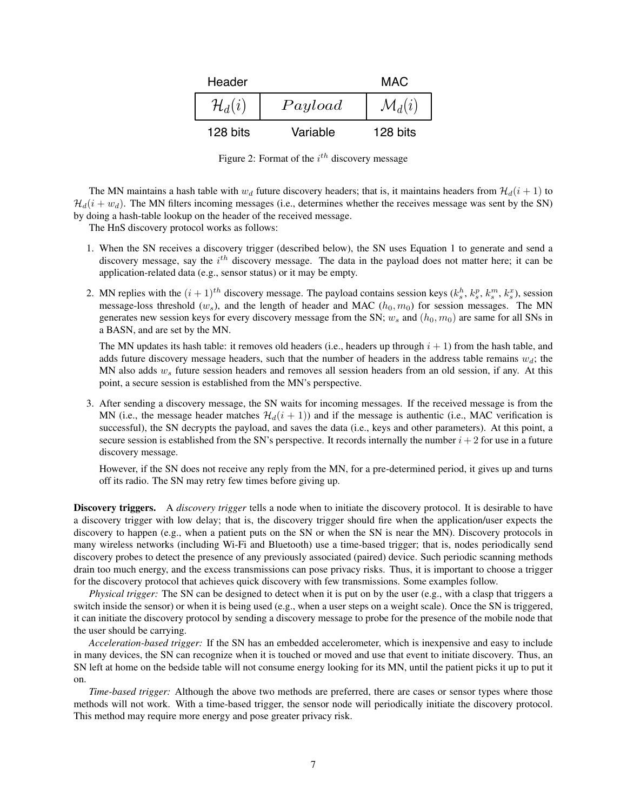

<span id="page-6-0"></span>Figure 2: Format of the  $i^{th}$  discovery message

The MN maintains a hash table with  $w_d$  future discovery headers; that is, it maintains headers from  $\mathcal{H}_d(i + 1)$  to  $\mathcal{H}_d(i + w_d)$ . The MN filters incoming messages (i.e., determines whether the receives message was sent by the SN) by doing a hash-table lookup on the header of the received message.

The HnS discovery protocol works as follows:

- 1. When the SN receives a discovery trigger (described below), the SN uses Equation [1](#page-5-0) to generate and send a discovery message, say the  $i^{th}$  discovery message. The data in the payload does not matter here; it can be application-related data (e.g., sensor status) or it may be empty.
- 2. MN replies with the  $(i + 1)^{th}$  discovery message. The payload contains session keys  $(k_s^h, k_s^p, k_s^m, k_s^x)$ , session message-loss threshold  $(w_s)$ , and the length of header and MAC  $(h_0, m_0)$  for session messages. The MN generates new session keys for every discovery message from the SN;  $w_s$  and  $(h_0, m_0)$  are same for all SNs in a BASN, and are set by the MN.

The MN updates its hash table: it removes old headers (i.e., headers up through  $i + 1$ ) from the hash table, and adds future discovery message headers, such that the number of headers in the address table remains  $w_d$ ; the MN also adds  $w_s$  future session headers and removes all session headers from an old session, if any. At this point, a secure session is established from the MN's perspective.

3. After sending a discovery message, the SN waits for incoming messages. If the received message is from the MN (i.e., the message header matches  $\mathcal{H}_d(i + 1)$ ) and if the message is authentic (i.e., MAC verification is successful), the SN decrypts the payload, and saves the data (i.e., keys and other parameters). At this point, a secure session is established from the SN's perspective. It records internally the number  $i + 2$  for use in a future discovery message.

However, if the SN does not receive any reply from the MN, for a pre-determined period, it gives up and turns off its radio. The SN may retry few times before giving up.

Discovery triggers. A *discovery trigger* tells a node when to initiate the discovery protocol. It is desirable to have a discovery trigger with low delay; that is, the discovery trigger should fire when the application/user expects the discovery to happen (e.g., when a patient puts on the SN or when the SN is near the MN). Discovery protocols in many wireless networks (including Wi-Fi and Bluetooth) use a time-based trigger; that is, nodes periodically send discovery probes to detect the presence of any previously associated (paired) device. Such periodic scanning methods drain too much energy, and the excess transmissions can pose privacy risks. Thus, it is important to choose a trigger for the discovery protocol that achieves quick discovery with few transmissions. Some examples follow.

*Physical trigger:* The SN can be designed to detect when it is put on by the user (e.g., with a clasp that triggers a switch inside the sensor) or when it is being used (e.g., when a user steps on a weight scale). Once the SN is triggered, it can initiate the discovery protocol by sending a discovery message to probe for the presence of the mobile node that the user should be carrying.

*Acceleration-based trigger:* If the SN has an embedded accelerometer, which is inexpensive and easy to include in many devices, the SN can recognize when it is touched or moved and use that event to initiate discovery. Thus, an SN left at home on the bedside table will not consume energy looking for its MN, until the patient picks it up to put it on.

*Time-based trigger:* Although the above two methods are preferred, there are cases or sensor types where those methods will not work. With a time-based trigger, the sensor node will periodically initiate the discovery protocol. This method may require more energy and pose greater privacy risk.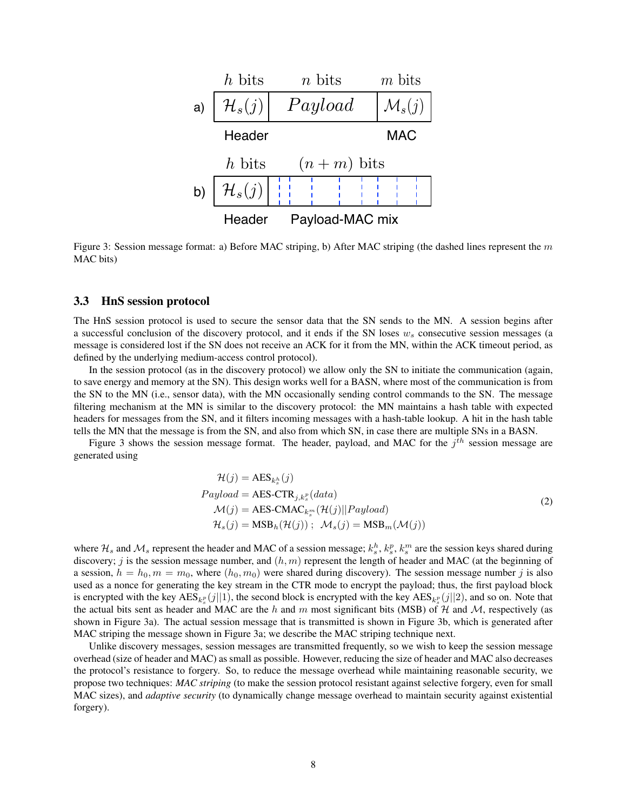

<span id="page-7-0"></span>Figure 3: Session message format: a) Before MAC striping, b) After MAC striping (the dashed lines represent the  $m$ MAC bits)

### 3.3 HnS session protocol

The HnS session protocol is used to secure the sensor data that the SN sends to the MN. A session begins after a successful conclusion of the discovery protocol, and it ends if the SN loses  $w<sub>s</sub>$  consecutive session messages (a message is considered lost if the SN does not receive an ACK for it from the MN, within the ACK timeout period, as defined by the underlying medium-access control protocol).

In the session protocol (as in the discovery protocol) we allow only the SN to initiate the communication (again, to save energy and memory at the SN). This design works well for a BASN, where most of the communication is from the SN to the MN (i.e., sensor data), with the MN occasionally sending control commands to the SN. The message filtering mechanism at the MN is similar to the discovery protocol: the MN maintains a hash table with expected headers for messages from the SN, and it filters incoming messages with a hash-table lookup. A hit in the hash table tells the MN that the message is from the SN, and also from which SN, in case there are multiple SNs in a BASN.

Figure [3](#page-7-0) shows the session message format. The header, payload, and MAC for the  $j^{th}$  session message are generated using

$$
\mathcal{H}(j) = \text{AES}_{k_s^h}(j)
$$
\n
$$
Payload = \text{AES-CTR}_{j,k_s^p}(data)
$$
\n
$$
\mathcal{M}(j) = \text{AES-CMAC}_{k_s^m}(\mathcal{H}(j)||Payload)
$$
\n
$$
\mathcal{H}_s(j) = \text{MSB}_h(\mathcal{H}(j)); \quad \mathcal{M}_s(j) = \text{MSB}_m(\mathcal{M}(j))
$$
\n(2)

<span id="page-7-1"></span>where  $H_s$  and  $M_s$  represent the header and MAC of a session message;  $k_s^h$ ,  $k_s^p$ ,  $k_s^m$  are the session keys shared during discovery; j is the session message number, and  $(h, m)$  represent the length of header and MAC (at the beginning of a session,  $h = h_0, m = m_0$ , where  $(h_0, m_0)$  were shared during discovery). The session message number j is also used as a nonce for generating the key stream in the CTR mode to encrypt the payload; thus, the first payload block is encrypted with the key  $\text{AES}_{k_s}$  (j||1), the second block is encrypted with the key  $\text{AES}_{k_s}$  (j||2), and so on. Note that the actual bits sent as header and MAC are the h and m most significant bits (MSB) of H and M, respectively (as shown in Figure [3a](#page-7-0)). The actual session message that is transmitted is shown in Figure [3b](#page-7-0), which is generated after MAC striping the message shown in Figure [3a](#page-7-0); we describe the MAC striping technique next.

Unlike discovery messages, session messages are transmitted frequently, so we wish to keep the session message overhead (size of header and MAC) as small as possible. However, reducing the size of header and MAC also decreases the protocol's resistance to forgery. So, to reduce the message overhead while maintaining reasonable security, we propose two techniques: *MAC striping* (to make the session protocol resistant against selective forgery, even for small MAC sizes), and *adaptive security* (to dynamically change message overhead to maintain security against existential forgery).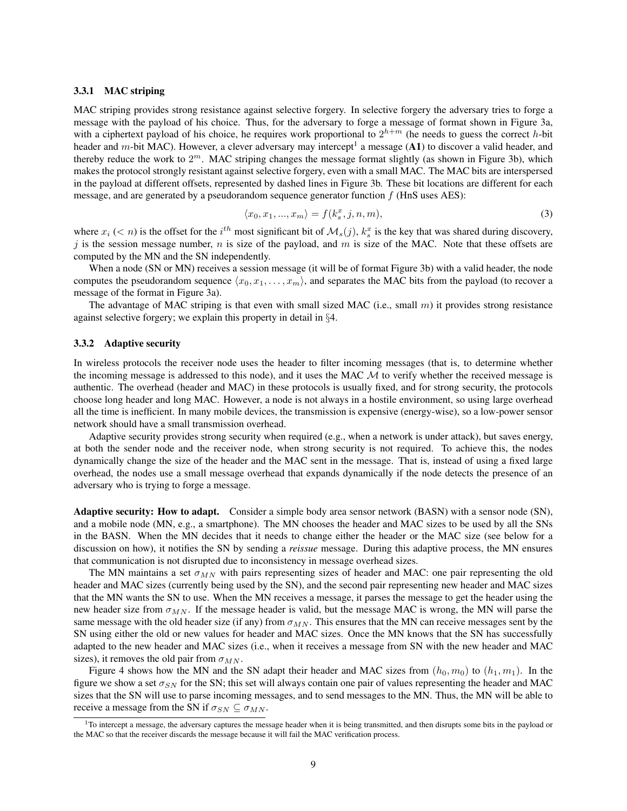#### 3.3.1 MAC striping

MAC striping provides strong resistance against selective forgery. In selective forgery the adversary tries to forge a message with the payload of his choice. Thus, for the adversary to forge a message of format shown in Figure [3a](#page-7-0), with a ciphertext payload of his choice, he requires work proportional to  $2^{h+m}$  (he needs to guess the correct h-bit header and m-bit MAC). However, a clever adversary may intercept<sup>[1](#page-8-0)</sup> a message ([A1](#page-2-2)) to discover a valid header, and thereby reduce the work to  $2^m$ . MAC striping changes the message format slightly (as shown in Figure [3b](#page-7-0)), which makes the protocol strongly resistant against selective forgery, even with a small MAC. The MAC bits are interspersed in the payload at different offsets, represented by dashed lines in Figure [3b](#page-7-0). These bit locations are different for each message, and are generated by a pseudorandom sequence generator function  $f$  (HnS uses AES):

<span id="page-8-1"></span>
$$
\langle x_0, x_1, ..., x_m \rangle = f(k_s^x, j, n, m), \tag{3}
$$

where  $x_i$  (< n) is the offset for the  $i^{th}$  most significant bit of  $\mathcal{M}_s(j)$ ,  $k_s^x$  is the key that was shared during discovery, j is the session message number,  $n$  is size of the payload, and  $m$  is size of the MAC. Note that these offsets are computed by the MN and the SN independently.

When a node (SN or MN) receives a session message (it will be of format Figure [3b](#page-7-0)) with a valid header, the node computes the pseudorandom sequence  $\langle x_0, x_1, \ldots, x_m \rangle$ , and separates the MAC bits from the payload (to recover a message of the format in Figure [3a](#page-7-0)).

The advantage of MAC striping is that even with small sized MAC (i.e., small  $m$ ) it provides strong resistance against selective forgery; we explain this property in detail in §[4.](#page-10-0)

#### <span id="page-8-2"></span>3.3.2 Adaptive security

In wireless protocols the receiver node uses the header to filter incoming messages (that is, to determine whether the incoming message is addressed to this node), and it uses the MAC  $M$  to verify whether the received message is authentic. The overhead (header and MAC) in these protocols is usually fixed, and for strong security, the protocols choose long header and long MAC. However, a node is not always in a hostile environment, so using large overhead all the time is inefficient. In many mobile devices, the transmission is expensive (energy-wise), so a low-power sensor network should have a small transmission overhead.

Adaptive security provides strong security when required (e.g., when a network is under attack), but saves energy, at both the sender node and the receiver node, when strong security is not required. To achieve this, the nodes dynamically change the size of the header and the MAC sent in the message. That is, instead of using a fixed large overhead, the nodes use a small message overhead that expands dynamically if the node detects the presence of an adversary who is trying to forge a message.

Adaptive security: How to adapt. Consider a simple body area sensor network (BASN) with a sensor node (SN), and a mobile node (MN, e.g., a smartphone). The MN chooses the header and MAC sizes to be used by all the SNs in the BASN. When the MN decides that it needs to change either the header or the MAC size (see below for a discussion on how), it notifies the SN by sending a *reissue* message. During this adaptive process, the MN ensures that communication is not disrupted due to inconsistency in message overhead sizes.

The MN maintains a set  $\sigma_{MN}$  with pairs representing sizes of header and MAC: one pair representing the old header and MAC sizes (currently being used by the SN), and the second pair representing new header and MAC sizes that the MN wants the SN to use. When the MN receives a message, it parses the message to get the header using the new header size from  $\sigma_{MN}$ . If the message header is valid, but the message MAC is wrong, the MN will parse the same message with the old header size (if any) from  $\sigma_{MN}$ . This ensures that the MN can receive messages sent by the SN using either the old or new values for header and MAC sizes. Once the MN knows that the SN has successfully adapted to the new header and MAC sizes (i.e., when it receives a message from SN with the new header and MAC sizes), it removes the old pair from  $\sigma_{MN}$ .

Figure [4](#page-9-0) shows how the MN and the SN adapt their header and MAC sizes from  $(h_0, m_0)$  to  $(h_1, m_1)$ . In the figure we show a set  $\sigma_{SN}$  for the SN; this set will always contain one pair of values representing the header and MAC sizes that the SN will use to parse incoming messages, and to send messages to the MN. Thus, the MN will be able to receive a message from the SN if  $\sigma_{SN} \subseteq \sigma_{MN}$ .

<span id="page-8-0"></span> ${}^{1}$ To intercept a message, the adversary captures the message header when it is being transmitted, and then disrupts some bits in the payload or the MAC so that the receiver discards the message because it will fail the MAC verification process.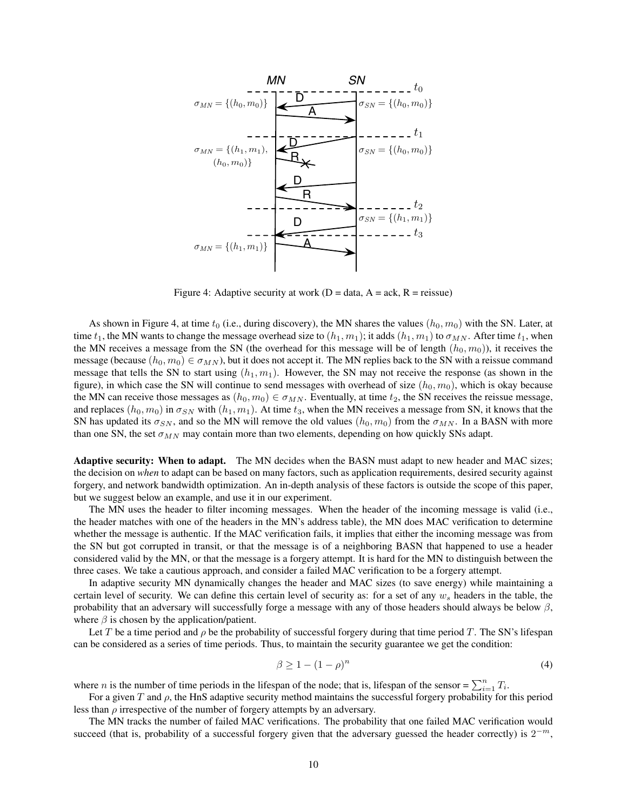

<span id="page-9-0"></span>Figure 4: Adaptive security at work ( $D = data$ ,  $A = ack$ ,  $R = reissue$ )

As shown in Figure [4,](#page-9-0) at time  $t_0$  (i.e., during discovery), the MN shares the values  $(h_0, m_0)$  with the SN. Later, at time  $t_1$ , the MN wants to change the message overhead size to  $(h_1, m_1)$ ; it adds  $(h_1, m_1)$  to  $\sigma_{MN}$ . After time  $t_1$ , when the MN receives a message from the SN (the overhead for this message will be of length  $(h_0, m_0)$ ), it receives the message (because  $(h_0, m_0) \in \sigma_{MN}$ ), but it does not accept it. The MN replies back to the SN with a reissue command message that tells the SN to start using  $(h_1, m_1)$ . However, the SN may not receive the response (as shown in the figure), in which case the SN will continue to send messages with overhead of size  $(h_0, m_0)$ , which is okay because the MN can receive those messages as  $(h_0, m_0) \in \sigma_{MN}$ . Eventually, at time  $t_2$ , the SN receives the reissue message, and replaces  $(h_0, m_0)$  in  $\sigma_{SN}$  with  $(h_1, m_1)$ . At time  $t_3$ , when the MN receives a message from SN, it knows that the SN has updated its  $\sigma_{SN}$ , and so the MN will remove the old values  $(h_0, m_0)$  from the  $\sigma_{MN}$ . In a BASN with more than one SN, the set  $\sigma_{MN}$  may contain more than two elements, depending on how quickly SNs adapt.

Adaptive security: When to adapt. The MN decides when the BASN must adapt to new header and MAC sizes; the decision on *when* to adapt can be based on many factors, such as application requirements, desired security against forgery, and network bandwidth optimization. An in-depth analysis of these factors is outside the scope of this paper, but we suggest below an example, and use it in our experiment.

The MN uses the header to filter incoming messages. When the header of the incoming message is valid (i.e., the header matches with one of the headers in the MN's address table), the MN does MAC verification to determine whether the message is authentic. If the MAC verification fails, it implies that either the incoming message was from the SN but got corrupted in transit, or that the message is of a neighboring BASN that happened to use a header considered valid by the MN, or that the message is a forgery attempt. It is hard for the MN to distinguish between the three cases. We take a cautious approach, and consider a failed MAC verification to be a forgery attempt.

In adaptive security MN dynamically changes the header and MAC sizes (to save energy) while maintaining a certain level of security. We can define this certain level of security as: for a set of any  $w_s$  headers in the table, the probability that an adversary will successfully forge a message with any of those headers should always be below  $\beta$ , where  $\beta$  is chosen by the application/patient.

Let T be a time period and  $\rho$  be the probability of successful forgery during that time period T. The SN's lifespan can be considered as a series of time periods. Thus, to maintain the security guarantee we get the condition:

<span id="page-9-1"></span>
$$
\beta \ge 1 - (1 - \rho)^n \tag{4}
$$

where *n* is the number of time periods in the lifespan of the node; that is, lifespan of the sensor =  $\sum_{i=1}^{n} T_i$ .

For a given T and  $\rho$ , the HnS adaptive security method maintains the successful forgery probability for this period less than  $\rho$  irrespective of the number of forgery attempts by an adversary.

The MN tracks the number of failed MAC verifications. The probability that one failed MAC verification would succeed (that is, probability of a successful forgery given that the adversary guessed the header correctly) is  $2^{-m}$ ,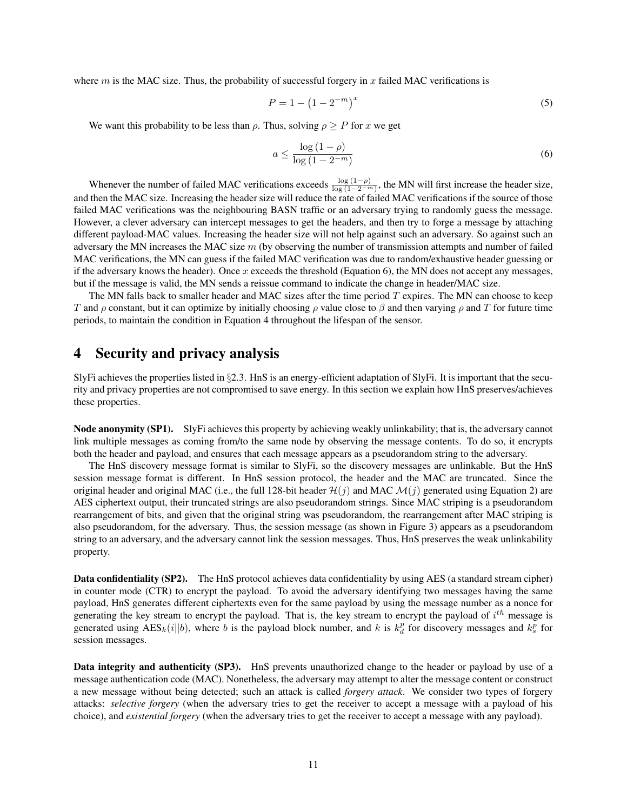where m is the MAC size. Thus, the probability of successful forgery in x failed MAC verifications is

$$
P = 1 - \left(1 - 2^{-m}\right)^x\tag{5}
$$

We want this probability to be less than  $\rho$ . Thus, solving  $\rho \ge P$  for x we get

<span id="page-10-1"></span>
$$
a \le \frac{\log\left(1 - \rho\right)}{\log\left(1 - 2^{-m}\right)}\tag{6}
$$

Whenever the number of failed MAC verifications exceeds  $\frac{\log(1-\rho)}{\log(1-2^{-m})}$ , the MN will first increase the header size, and then the MAC size. Increasing the header size will reduce the rate of failed MAC verifications if the source of those failed MAC verifications was the neighbouring BASN traffic or an adversary trying to randomly guess the message. However, a clever adversary can intercept messages to get the headers, and then try to forge a message by attaching different payload-MAC values. Increasing the header size will not help against such an adversary. So against such an adversary the MN increases the MAC size  $m$  (by observing the number of transmission attempts and number of failed MAC verifications, the MN can guess if the failed MAC verification was due to random/exhaustive header guessing or if the adversary knows the header). Once x exceeds the threshold (Equation [6\)](#page-10-1), the MN does not accept any messages, but if the message is valid, the MN sends a reissue command to indicate the change in header/MAC size.

The MN falls back to smaller header and MAC sizes after the time period  $T$  expires. The MN can choose to keep T and  $\rho$  constant, but it can optimize by initially choosing  $\rho$  value close to  $\beta$  and then varying  $\rho$  and T for future time periods, to maintain the condition in Equation [4](#page-9-1) throughout the lifespan of the sensor.

## <span id="page-10-0"></span>4 Security and privacy analysis

SlyFi achieves the properties listed in §[2.3.](#page-3-3) HnS is an energy-efficient adaptation of SlyFi. It is important that the security and privacy properties are not compromised to save energy. In this section we explain how HnS preserves/achieves these properties.

Node anonymity [\(SP1\)](#page-3-4). SlyFi achieves this property by achieving weakly unlinkability; that is, the adversary cannot link multiple messages as coming from/to the same node by observing the message contents. To do so, it encrypts both the header and payload, and ensures that each message appears as a pseudorandom string to the adversary.

The HnS discovery message format is similar to SlyFi, so the discovery messages are unlinkable. But the HnS session message format is different. In HnS session protocol, the header and the MAC are truncated. Since the original header and original MAC (i.e., the full 128-bit header  $\mathcal{H}(j)$  and MAC  $\mathcal{M}(j)$  generated using Equation [2\)](#page-7-1) are AES ciphertext output, their truncated strings are also pseudorandom strings. Since MAC striping is a pseudorandom rearrangement of bits, and given that the original string was pseudorandom, the rearrangement after MAC striping is also pseudorandom, for the adversary. Thus, the session message (as shown in Figure [3\)](#page-7-0) appears as a pseudorandom string to an adversary, and the adversary cannot link the session messages. Thus, HnS preserves the weak unlinkability property.

Data confidentiality [\(SP2\)](#page-3-5). The HnS protocol achieves data confidentiality by using AES (a standard stream cipher) in counter mode (CTR) to encrypt the payload. To avoid the adversary identifying two messages having the same payload, HnS generates different ciphertexts even for the same payload by using the message number as a nonce for generating the key stream to encrypt the payload. That is, the key stream to encrypt the payload of  $i^{th}$  message is generated using  $\text{AES}_k(i||b)$ , where b is the payload block number, and k is  $k_d^p$  for discovery messages and  $k_s^p$  for session messages.

Data integrity and authenticity [\(SP3\)](#page-3-6). HnS prevents unauthorized change to the header or payload by use of a message authentication code (MAC). Nonetheless, the adversary may attempt to alter the message content or construct a new message without being detected; such an attack is called *forgery attack*. We consider two types of forgery attacks: *selective forgery* (when the adversary tries to get the receiver to accept a message with a payload of his choice), and *existential forgery* (when the adversary tries to get the receiver to accept a message with any payload).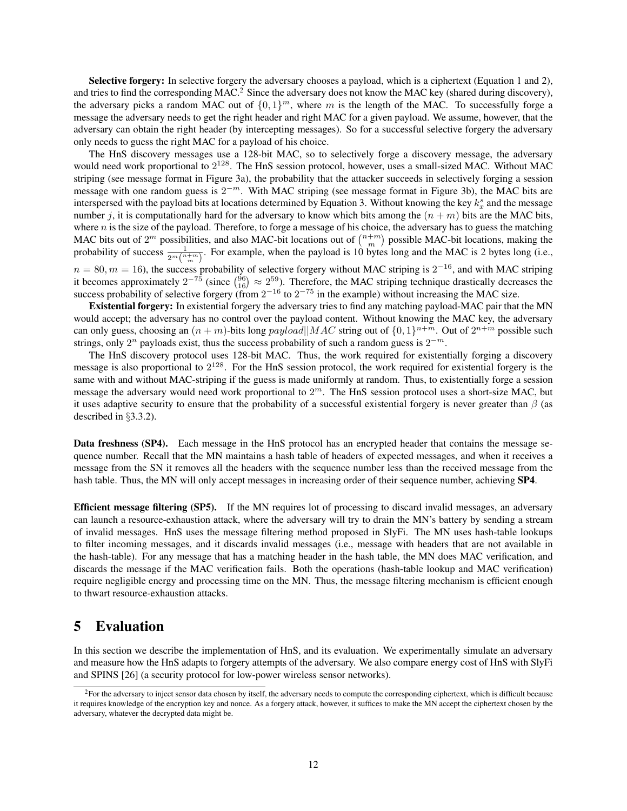Selective forgery: In selective forgery the adversary chooses a payload, which is a ciphertext (Equation [1](#page-5-0) and [2\)](#page-7-1), and tries to find the corresponding MAC.<sup>[2](#page-11-1)</sup> Since the adversary does not know the MAC key (shared during discovery), the adversary picks a random MAC out of  $\{0, 1\}^m$ , where m is the length of the MAC. To successfully forge a message the adversary needs to get the right header and right MAC for a given payload. We assume, however, that the adversary can obtain the right header (by intercepting messages). So for a successful selective forgery the adversary only needs to guess the right MAC for a payload of his choice.

The HnS discovery messages use a 128-bit MAC, so to selectively forge a discovery message, the adversary would need work proportional to  $2^{128}$ . The HnS session protocol, however, uses a small-sized MAC. Without MAC striping (see message format in Figure [3a](#page-7-0)), the probability that the attacker succeeds in selectively forging a session message with one random guess is  $2^{-m}$ . With MAC striping (see message format in Figure [3b](#page-7-0)), the MAC bits are interspersed with the payload bits at locations determined by Equation [3.](#page-8-1) Without knowing the key  $k_x^s$  and the message number j, it is computationally hard for the adversary to know which bits among the  $(n + m)$  bits are the MAC bits, where *n* is the size of the payload. Therefore, to forge a message of his choice, the adversary has to guess the matching MAC bits out of  $2^m$  possibilities, and also MAC-bit locations out of  $\binom{n+m}{m}$  possible MAC-bit locations, making the probability of success  $\frac{1}{2^m\binom{n+m}{m}}$ . For example, when the payload is 10 bytes long and the MAC is 2 bytes long (i.e.,  $n = 80, m = 16$ ), the success probability of selective forgery without MAC striping is  $2^{-16}$ , and with MAC striping it becomes approximately  $2^{-75}$  (since  $\binom{96}{16} \approx 2^{59}$ ). Therefore, the MAC striping technique drastically decreases the

success probability of selective forgery (from  $2^{-16}$  to  $2^{-75}$  in the example) without increasing the MAC size. Existential forgery: In existential forgery the adversary tries to find any matching payload-MAC pair that the MN would accept; the adversary has no control over the payload content. Without knowing the MAC key, the adversary can only guess, choosing an  $(n + m)$ -bits long  $payload||MAC$  string out of  $\{0, 1\}^{n+m}$ . Out of  $2^{n+m}$  possible such strings, only  $2^n$  payloads exist, thus the success probability of such a random guess is  $2^{-m}$ .

The HnS discovery protocol uses 128-bit MAC. Thus, the work required for existentially forging a discovery message is also proportional to  $2^{128}$ . For the HnS session protocol, the work required for existential forgery is the same with and without MAC-striping if the guess is made uniformly at random. Thus, to existentially forge a session message the adversary would need work proportional to  $2<sup>m</sup>$ . The HnS session protocol uses a short-size MAC, but it uses adaptive security to ensure that the probability of a successful existential forgery is never greater than  $\beta$  (as described in §[3.3.2\)](#page-8-2).

Data freshness [\(SP4\)](#page-3-7). Each message in the HnS protocol has an encrypted header that contains the message sequence number. Recall that the MN maintains a hash table of headers of expected messages, and when it receives a message from the SN it removes all the headers with the sequence number less than the received message from the hash table. Thus, the MN will only accept messages in increasing order of their sequence number, achieving **[SP4](#page-3-7)**.

Efficient message filtering [\(SP5\)](#page-3-8). If the MN requires lot of processing to discard invalid messages, an adversary can launch a resource-exhaustion attack, where the adversary will try to drain the MN's battery by sending a stream of invalid messages. HnS uses the message filtering method proposed in SlyFi. The MN uses hash-table lookups to filter incoming messages, and it discards invalid messages (i.e., message with headers that are not available in the hash-table). For any message that has a matching header in the hash table, the MN does MAC verification, and discards the message if the MAC verification fails. Both the operations (hash-table lookup and MAC verification) require negligible energy and processing time on the MN. Thus, the message filtering mechanism is efficient enough to thwart resource-exhaustion attacks.

## <span id="page-11-0"></span>5 Evaluation

In this section we describe the implementation of HnS, and its evaluation. We experimentally simulate an adversary and measure how the HnS adapts to forgery attempts of the adversary. We also compare energy cost of HnS with SlyFi and SPINS [\[26\]](#page-17-10) (a security protocol for low-power wireless sensor networks).

<span id="page-11-1"></span><sup>&</sup>lt;sup>2</sup>For the adversary to inject sensor data chosen by itself, the adversary needs to compute the corresponding ciphertext, which is difficult because it requires knowledge of the encryption key and nonce. As a forgery attack, however, it suffices to make the MN accept the ciphertext chosen by the adversary, whatever the decrypted data might be.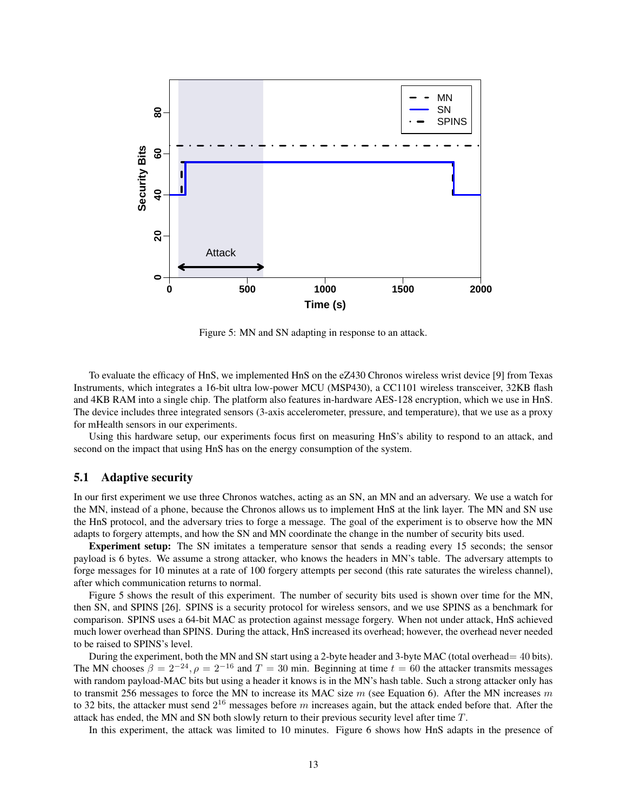

<span id="page-12-0"></span>Figure 5: MN and SN adapting in response to an attack.

To evaluate the efficacy of HnS, we implemented HnS on the eZ430 Chronos wireless wrist device [\[9\]](#page-16-15) from Texas Instruments, which integrates a 16-bit ultra low-power MCU (MSP430), a CC1101 wireless transceiver, 32KB flash and 4KB RAM into a single chip. The platform also features in-hardware AES-128 encryption, which we use in HnS. The device includes three integrated sensors (3-axis accelerometer, pressure, and temperature), that we use as a proxy for mHealth sensors in our experiments.

Using this hardware setup, our experiments focus first on measuring HnS's ability to respond to an attack, and second on the impact that using HnS has on the energy consumption of the system.

### 5.1 Adaptive security

In our first experiment we use three Chronos watches, acting as an SN, an MN and an adversary. We use a watch for the MN, instead of a phone, because the Chronos allows us to implement HnS at the link layer. The MN and SN use the HnS protocol, and the adversary tries to forge a message. The goal of the experiment is to observe how the MN adapts to forgery attempts, and how the SN and MN coordinate the change in the number of security bits used.

Experiment setup: The SN imitates a temperature sensor that sends a reading every 15 seconds; the sensor payload is 6 bytes. We assume a strong attacker, who knows the headers in MN's table. The adversary attempts to forge messages for 10 minutes at a rate of 100 forgery attempts per second (this rate saturates the wireless channel), after which communication returns to normal.

Figure [5](#page-12-0) shows the result of this experiment. The number of security bits used is shown over time for the MN, then SN, and SPINS [\[26\]](#page-17-10). SPINS is a security protocol for wireless sensors, and we use SPINS as a benchmark for comparison. SPINS uses a 64-bit MAC as protection against message forgery. When not under attack, HnS achieved much lower overhead than SPINS. During the attack, HnS increased its overhead; however, the overhead never needed to be raised to SPINS's level.

During the experiment, both the MN and SN start using a 2-byte header and 3-byte MAC (total overhead = 40 bits). The MN chooses  $\beta = 2^{-24}$ ,  $\rho = 2^{-16}$  and  $T = 30$  min. Beginning at time  $t = 60$  the attacker transmits messages with random payload-MAC bits but using a header it knows is in the MN's hash table. Such a strong attacker only has to transmit 256 messages to force the MN to increase its MAC size  $m$  (see Equation [6\)](#page-10-1). After the MN increases  $m$ to 32 bits, the attacker must send  $2^{16}$  messages before m increases again, but the attack ended before that. After the attack has ended, the MN and SN both slowly return to their previous security level after time T.

In this experiment, the attack was limited to 10 minutes. Figure [6](#page-13-0) shows how HnS adapts in the presence of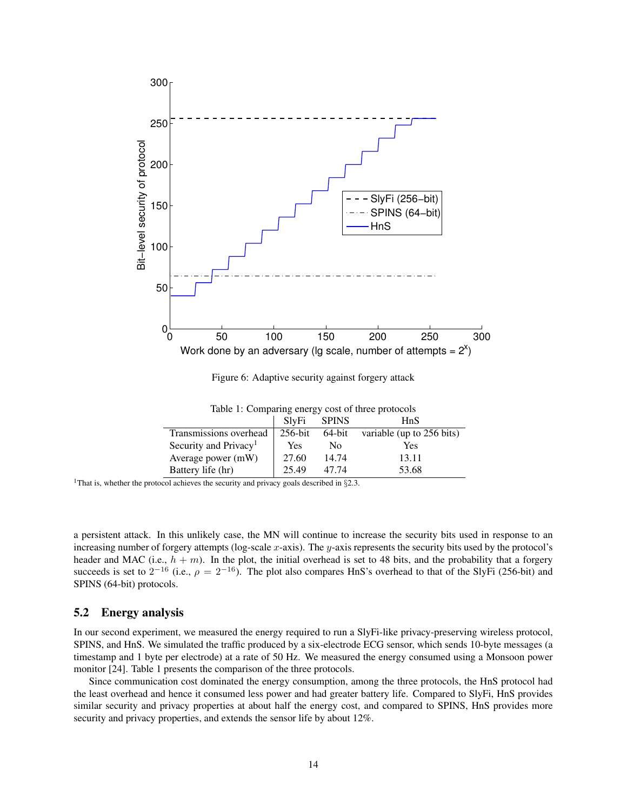

<span id="page-13-0"></span>Figure 6: Adaptive security against forgery attack

<span id="page-13-1"></span>

|  | Table 1: Comparing energy cost of three protocols |  |  |
|--|---------------------------------------------------|--|--|
|  |                                                   |  |  |

|                                   | SlvFi      | <b>SPINS</b> | HnS                       |
|-----------------------------------|------------|--------------|---------------------------|
| Transmissions overhead            | $256$ -bit | 64-bit       | variable (up to 256 bits) |
| Security and Privacy <sup>1</sup> | Yes        | No.          | Yes                       |
| Average power (mW)                | 27.60      | 14.74        | 13.11                     |
| Battery life (hr)                 | 25.49      | 47.74        | 53.68                     |

<sup>1</sup>That is, whether the protocol achieves the security and privacy goals described in  $\S 2.3$ .

a persistent attack. In this unlikely case, the MN will continue to increase the security bits used in response to an increasing number of forgery attempts (log-scale x-axis). The  $y$ -axis represents the security bits used by the protocol's header and MAC (i.e.,  $h + m$ ). In the plot, the initial overhead is set to 48 bits, and the probability that a forgery succeeds is set to  $2^{-16}$  (i.e.,  $\rho = 2^{-16}$ ). The plot also compares HnS's overhead to that of the SlyFi (256-bit) and SPINS (64-bit) protocols.

### 5.2 Energy analysis

In our second experiment, we measured the energy required to run a SlyFi-like privacy-preserving wireless protocol, SPINS, and HnS. We simulated the traffic produced by a six-electrode ECG sensor, which sends 10-byte messages (a timestamp and 1 byte per electrode) at a rate of 50 Hz. We measured the energy consumed using a Monsoon power monitor [\[24\]](#page-17-11). Table [1](#page-13-1) presents the comparison of the three protocols.

Since communication cost dominated the energy consumption, among the three protocols, the HnS protocol had the least overhead and hence it consumed less power and had greater battery life. Compared to SlyFi, HnS provides similar security and privacy properties at about half the energy cost, and compared to SPINS, HnS provides more security and privacy properties, and extends the sensor life by about 12%.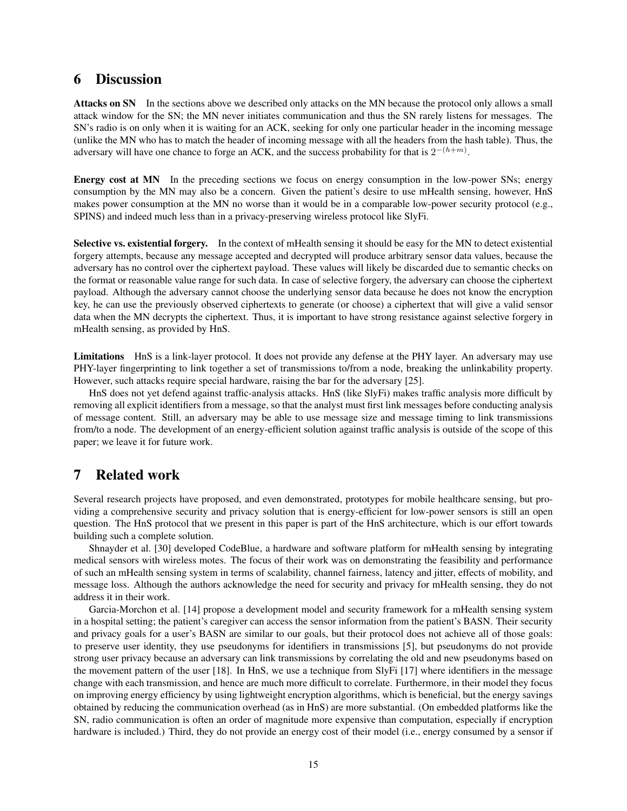## <span id="page-14-1"></span>6 Discussion

Attacks on SN In the sections above we described only attacks on the MN because the protocol only allows a small attack window for the SN; the MN never initiates communication and thus the SN rarely listens for messages. The SN's radio is on only when it is waiting for an ACK, seeking for only one particular header in the incoming message (unlike the MN who has to match the header of incoming message with all the headers from the hash table). Thus, the adversary will have one chance to forge an ACK, and the success probability for that is  $2^{-(h+m)}$ .

Energy cost at MN In the preceding sections we focus on energy consumption in the low-power SNs; energy consumption by the MN may also be a concern. Given the patient's desire to use mHealth sensing, however, HnS makes power consumption at the MN no worse than it would be in a comparable low-power security protocol (e.g., SPINS) and indeed much less than in a privacy-preserving wireless protocol like SlyFi.

Selective vs. existential forgery. In the context of mHealth sensing it should be easy for the MN to detect existential forgery attempts, because any message accepted and decrypted will produce arbitrary sensor data values, because the adversary has no control over the ciphertext payload. These values will likely be discarded due to semantic checks on the format or reasonable value range for such data. In case of selective forgery, the adversary can choose the ciphertext payload. Although the adversary cannot choose the underlying sensor data because he does not know the encryption key, he can use the previously observed ciphertexts to generate (or choose) a ciphertext that will give a valid sensor data when the MN decrypts the ciphertext. Thus, it is important to have strong resistance against selective forgery in mHealth sensing, as provided by HnS.

Limitations HnS is a link-layer protocol. It does not provide any defense at the PHY layer. An adversary may use PHY-layer fingerprinting to link together a set of transmissions to/from a node, breaking the unlinkability property. However, such attacks require special hardware, raising the bar for the adversary [\[25\]](#page-17-12).

HnS does not yet defend against traffic-analysis attacks. HnS (like SlyFi) makes traffic analysis more difficult by removing all explicit identifiers from a message, so that the analyst must first link messages before conducting analysis of message content. Still, an adversary may be able to use message size and message timing to link transmissions from/to a node. The development of an energy-efficient solution against traffic analysis is outside of the scope of this paper; we leave it for future work.

## <span id="page-14-0"></span>7 Related work

Several research projects have proposed, and even demonstrated, prototypes for mobile healthcare sensing, but providing a comprehensive security and privacy solution that is energy-efficient for low-power sensors is still an open question. The HnS protocol that we present in this paper is part of the HnS architecture, which is our effort towards building such a complete solution.

Shnayder et al. [\[30\]](#page-17-13) developed CodeBlue, a hardware and software platform for mHealth sensing by integrating medical sensors with wireless motes. The focus of their work was on demonstrating the feasibility and performance of such an mHealth sensing system in terms of scalability, channel fairness, latency and jitter, effects of mobility, and message loss. Although the authors acknowledge the need for security and privacy for mHealth sensing, they do not address it in their work.

Garcia-Morchon et al. [\[14\]](#page-16-16) propose a development model and security framework for a mHealth sensing system in a hospital setting; the patient's caregiver can access the sensor information from the patient's BASN. Their security and privacy goals for a user's BASN are similar to our goals, but their protocol does not achieve all of those goals: to preserve user identity, they use pseudonyms for identifiers in transmissions [\[5\]](#page-16-17), but pseudonyms do not provide strong user privacy because an adversary can link transmissions by correlating the old and new pseudonyms based on the movement pattern of the user [\[18\]](#page-16-18). In HnS, we use a technique from SlyFi [\[17\]](#page-16-6) where identifiers in the message change with each transmission, and hence are much more difficult to correlate. Furthermore, in their model they focus on improving energy efficiency by using lightweight encryption algorithms, which is beneficial, but the energy savings obtained by reducing the communication overhead (as in HnS) are more substantial. (On embedded platforms like the SN, radio communication is often an order of magnitude more expensive than computation, especially if encryption hardware is included.) Third, they do not provide an energy cost of their model (i.e., energy consumed by a sensor if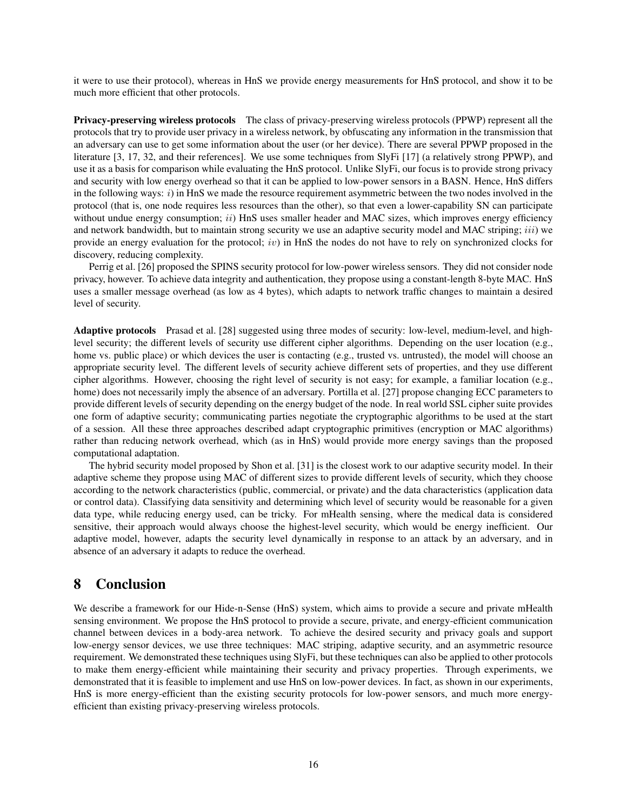it were to use their protocol), whereas in HnS we provide energy measurements for HnS protocol, and show it to be much more efficient that other protocols.

Privacy-preserving wireless protocols The class of privacy-preserving wireless protocols (PPWP) represent all the protocols that try to provide user privacy in a wireless network, by obfuscating any information in the transmission that an adversary can use to get some information about the user (or her device). There are several PPWP proposed in the literature [\[3,](#page-16-5) [17,](#page-16-6) [32,](#page-17-14) and their references]. We use some techniques from SlyFi [\[17\]](#page-16-6) (a relatively strong PPWP), and use it as a basis for comparison while evaluating the HnS protocol. Unlike SlyFi, our focus is to provide strong privacy and security with low energy overhead so that it can be applied to low-power sensors in a BASN. Hence, HnS differs in the following ways:  $i)$  in HnS we made the resource requirement asymmetric between the two nodes involved in the protocol (that is, one node requires less resources than the other), so that even a lower-capability SN can participate without undue energy consumption; ii) HnS uses smaller header and MAC sizes, which improves energy efficiency and network bandwidth, but to maintain strong security we use an adaptive security model and MAC striping;  $iii)$  we provide an energy evaluation for the protocol;  $iv$ ) in HnS the nodes do not have to rely on synchronized clocks for discovery, reducing complexity.

Perrig et al. [\[26\]](#page-17-10) proposed the SPINS security protocol for low-power wireless sensors. They did not consider node privacy, however. To achieve data integrity and authentication, they propose using a constant-length 8-byte MAC. HnS uses a smaller message overhead (as low as 4 bytes), which adapts to network traffic changes to maintain a desired level of security.

Adaptive protocols Prasad et al. [\[28\]](#page-17-15) suggested using three modes of security: low-level, medium-level, and highlevel security; the different levels of security use different cipher algorithms. Depending on the user location (e.g., home vs. public place) or which devices the user is contacting (e.g., trusted vs. untrusted), the model will choose an appropriate security level. The different levels of security achieve different sets of properties, and they use different cipher algorithms. However, choosing the right level of security is not easy; for example, a familiar location (e.g., home) does not necessarily imply the absence of an adversary. Portilla et al. [\[27\]](#page-17-16) propose changing ECC parameters to provide different levels of security depending on the energy budget of the node. In real world SSL cipher suite provides one form of adaptive security; communicating parties negotiate the cryptographic algorithms to be used at the start of a session. All these three approaches described adapt cryptographic primitives (encryption or MAC algorithms) rather than reducing network overhead, which (as in HnS) would provide more energy savings than the proposed computational adaptation.

The hybrid security model proposed by Shon et al. [\[31\]](#page-17-17) is the closest work to our adaptive security model. In their adaptive scheme they propose using MAC of different sizes to provide different levels of security, which they choose according to the network characteristics (public, commercial, or private) and the data characteristics (application data or control data). Classifying data sensitivity and determining which level of security would be reasonable for a given data type, while reducing energy used, can be tricky. For mHealth sensing, where the medical data is considered sensitive, their approach would always choose the highest-level security, which would be energy inefficient. Our adaptive model, however, adapts the security level dynamically in response to an attack by an adversary, and in absence of an adversary it adapts to reduce the overhead.

## 8 Conclusion

We describe a framework for our Hide-n-Sense (HnS) system, which aims to provide a secure and private mHealth sensing environment. We propose the HnS protocol to provide a secure, private, and energy-efficient communication channel between devices in a body-area network. To achieve the desired security and privacy goals and support low-energy sensor devices, we use three techniques: MAC striping, adaptive security, and an asymmetric resource requirement. We demonstrated these techniques using SlyFi, but these techniques can also be applied to other protocols to make them energy-efficient while maintaining their security and privacy properties. Through experiments, we demonstrated that it is feasible to implement and use HnS on low-power devices. In fact, as shown in our experiments, HnS is more energy-efficient than the existing security protocols for low-power sensors, and much more energyefficient than existing privacy-preserving wireless protocols.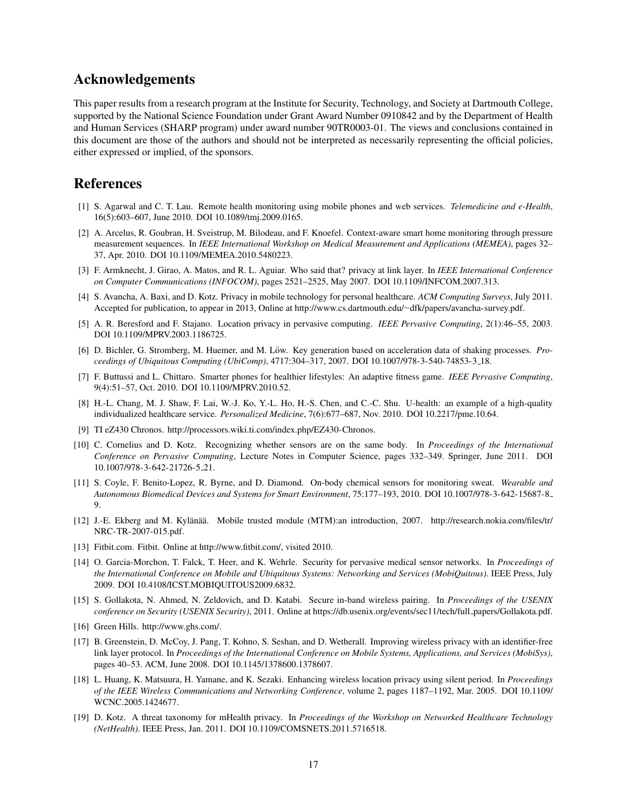## Acknowledgements

This paper results from a research program at the Institute for Security, Technology, and Society at Dartmouth College, supported by the National Science Foundation under Grant Award Number 0910842 and by the Department of Health and Human Services (SHARP program) under award number 90TR0003-01. The views and conclusions contained in this document are those of the authors and should not be interpreted as necessarily representing the official policies, either expressed or implied, of the sponsors.

## References

- <span id="page-16-1"></span>[1] S. Agarwal and C. T. Lau. Remote health monitoring using mobile phones and web services. *Telemedicine and e-Health*, 16(5):603–607, June 2010. DOI [10.1089/tmj.2009.0165.](http://dx.doi.org/10.1089/tmj.2009.0165)
- <span id="page-16-2"></span>[2] A. Arcelus, R. Goubran, H. Sveistrup, M. Bilodeau, and F. Knoefel. Context-aware smart home monitoring through pressure measurement sequences. In *IEEE International Workshop on Medical Measurement and Applications (MEMEA)*, pages 32– 37, Apr. 2010. DOI [10.1109/MEMEA.2010.5480223.](http://dx.doi.org/10.1109/MEMEA.2010.5480223)
- <span id="page-16-5"></span>[3] F. Armknecht, J. Girao, A. Matos, and R. L. Aguiar. Who said that? privacy at link layer. In *IEEE International Conference on Computer Communications (INFOCOM)*, pages 2521–2525, May 2007. DOI [10.1109/INFCOM.2007.313.](http://dx.doi.org/10.1109/INFCOM.2007.313)
- <span id="page-16-8"></span>[4] S. Avancha, A. Baxi, and D. Kotz. Privacy in mobile technology for personal healthcare. *ACM Computing Surveys*, July 2011. Accepted for publication, to appear in 2013, Online at http://www.cs.dartmouth.edu/∼[dfk/papers/avancha-survey.pdf.](http://www.cs.dartmouth.edu/~dfk/papers/avancha-survey.pdf)
- <span id="page-16-17"></span>[5] A. R. Beresford and F. Stajano. Location privacy in pervasive computing. *IEEE Pervasive Computing*, 2(1):46–55, 2003. DOI [10.1109/MPRV.2003.1186725.](http://dx.doi.org/10.1109/MPRV.2003.1186725)
- <span id="page-16-13"></span>[6] D. Bichler, G. Stromberg, M. Huemer, and M. Löw. Key generation based on acceleration data of shaking processes. *Proceedings of Ubiquitous Computing (UbiComp)*, 4717:304–317, 2007. DOI [10.1007/978-3-540-74853-3](http://dx.doi.org/10.1007/978-3-540-74853-3_18) 18.
- <span id="page-16-3"></span>[7] F. Buttussi and L. Chittaro. Smarter phones for healthier lifestyles: An adaptive fitness game. *IEEE Pervasive Computing*, 9(4):51–57, Oct. 2010. DOI [10.1109/MPRV.2010.52.](http://dx.doi.org/10.1109/MPRV.2010.52)
- <span id="page-16-0"></span>[8] H.-L. Chang, M. J. Shaw, F. Lai, W.-J. Ko, Y.-L. Ho, H.-S. Chen, and C.-C. Shu. U-health: an example of a high-quality individualized healthcare service. *Personalized Medicine*, 7(6):677–687, Nov. 2010. DOI [10.2217/pme.10.64.](http://dx.doi.org/10.2217/pme.10.64)
- <span id="page-16-15"></span>[9] TI eZ430 Chronos. [http://processors.wiki.ti.com/index.php/EZ430-Chronos.](http://processors.wiki.ti.com/index.php/EZ430-Chronos)
- <span id="page-16-12"></span>[10] C. Cornelius and D. Kotz. Recognizing whether sensors are on the same body. In *Proceedings of the International Conference on Pervasive Computing*, Lecture Notes in Computer Science, pages 332–349. Springer, June 2011. DOI [10.1007/978-3-642-21726-5](http://dx.doi.org/10.1007/978-3-642-21726-5_21) 21.
- <span id="page-16-4"></span>[11] S. Coyle, F. Benito-Lopez, R. Byrne, and D. Diamond. On-body chemical sensors for monitoring sweat. *Wearable and Autonomous Biomedical Devices and Systems for Smart Environment*, 75:177–193, 2010. DOI [10.1007/978-3-642-15687-8](http://dx.doi.org/10.1007/978-3-642-15687-8_9) [9.](http://dx.doi.org/10.1007/978-3-642-15687-8_9)
- <span id="page-16-10"></span>[12] J.-E. Ekberg and M. Kylänää. Mobile trusted module (MTM):an introduction, 2007. [http://research.nokia.com/files/tr/](http://research.nokia.com/files/tr/NRC-TR-2007-015.pdf) [NRC-TR-2007-015.pdf.](http://research.nokia.com/files/tr/NRC-TR-2007-015.pdf)
- <span id="page-16-7"></span>[13] Fitbit.com. Fitbit. Online at [http://www.fitbit.com/,](http://www.fitbit.com/) visited 2010.
- <span id="page-16-16"></span>[14] O. Garcia-Morchon, T. Falck, T. Heer, and K. Wehrle. Security for pervasive medical sensor networks. In *Proceedings of the International Conference on Mobile and Ubiquitous Systems: Networking and Services (MobiQuitous)*. IEEE Press, July 2009. DOI [10.4108/ICST.MOBIQUITOUS2009.6832.](http://dx.doi.org/10.4108/ICST.MOBIQUITOUS2009.6832)
- <span id="page-16-14"></span>[15] S. Gollakota, N. Ahmed, N. Zeldovich, and D. Katabi. Secure in-band wireless pairing. In *Proceedings of the USENIX conference on Security (USENIX Security)*, 2011. Online at [https://db.usenix.org/events/sec11/tech/full](https://db.usenix.org/events/sec11/tech/full_papers/Gollakota.pdf) papers/Gollakota.pdf.
- <span id="page-16-11"></span>[16] Green Hills. [http://www.ghs.com/.](http://www.ghs.com/)
- <span id="page-16-6"></span>[17] B. Greenstein, D. McCoy, J. Pang, T. Kohno, S. Seshan, and D. Wetherall. Improving wireless privacy with an identifier-free link layer protocol. In *Proceedings of the International Conference on Mobile Systems, Applications, and Services (MobiSys)*, pages 40–53. ACM, June 2008. DOI [10.1145/1378600.1378607.](http://dx.doi.org/10.1145/1378600.1378607)
- <span id="page-16-18"></span>[18] L. Huang, K. Matsuura, H. Yamane, and K. Sezaki. Enhancing wireless location privacy using silent period. In *Proceedings of the IEEE Wireless Communications and Networking Conference*, volume 2, pages 1187–1192, Mar. 2005. DOI [10.1109/](http://dx.doi.org/10.1109/WCNC.2005.1424677) [WCNC.2005.1424677.](http://dx.doi.org/10.1109/WCNC.2005.1424677)
- <span id="page-16-9"></span>[19] D. Kotz. A threat taxonomy for mHealth privacy. In *Proceedings of the Workshop on Networked Healthcare Technology (NetHealth)*. IEEE Press, Jan. 2011. DOI [10.1109/COMSNETS.2011.5716518.](http://dx.doi.org/10.1109/COMSNETS.2011.5716518)